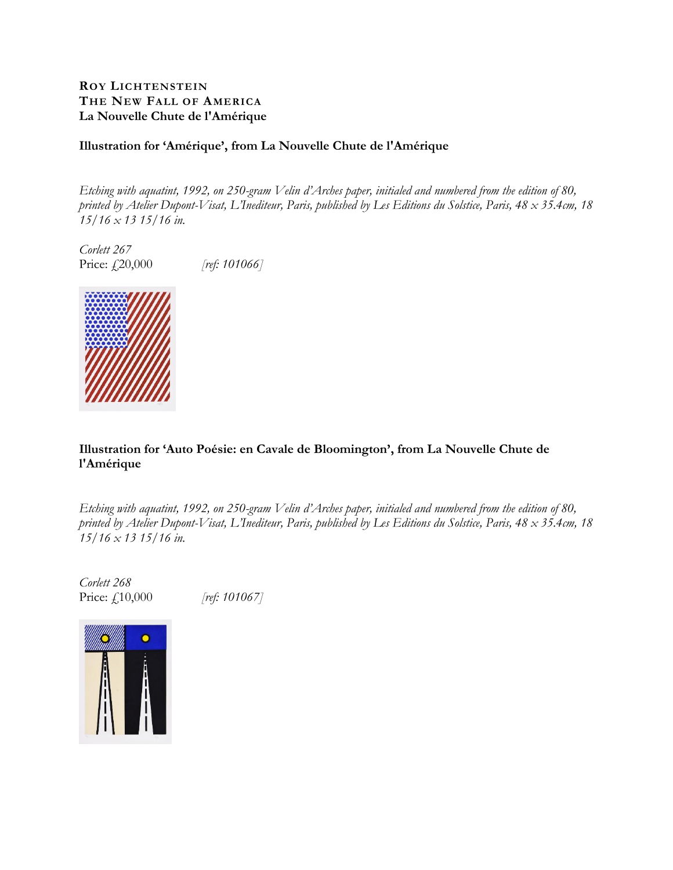## **ROY LICHTENSTEIN THE NEW FALL OF AMERICA La Nouvelle Chute de l'Amérique**

## **Illustration for 'Amérique', from La Nouvelle Chute de l'Amérique**

*Etching with aquatint, 1992, on 250-gram Velin d'Arches paper, initialed and numbered from the edition of 80, printed by Atelier Dupont-Visat, L'Inediteur, Paris, published by Les Editions du Solstice, Paris, 48 x 35.4cm, 18 15/16 x 13 15/16 in.* 

*Corlett 267* Price: £,20,000 *[ref: 101066]* 



**Illustration for 'Auto Poésie: en Cavale de Bloomington', from La Nouvelle Chute de l'Amérique** 

*Etching with aquatint, 1992, on 250-gram Velin d'Arches paper, initialed and numbered from the edition of 80, printed by Atelier Dupont-Visat, L'Inediteur, Paris, published by Les Editions du Solstice, Paris, 48 x 35.4cm, 18 15/16 x 13 15/16 in.* 

*Corlett 268* Price: £10,000 *[ref: 101067]* 

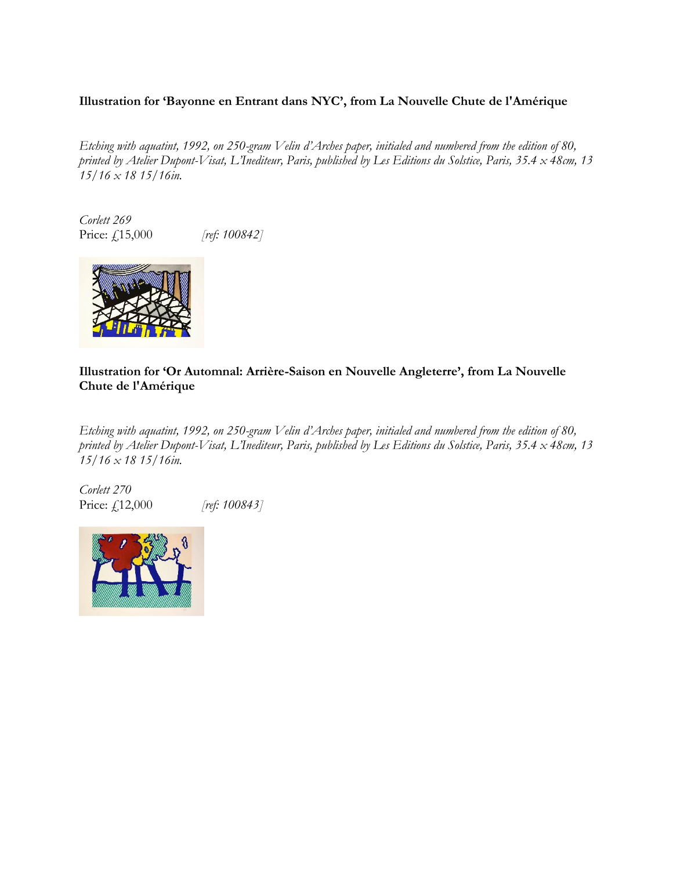# **Illustration for 'Bayonne en Entrant dans NYC', from La Nouvelle Chute de l'Amérique**

*Etching with aquatint, 1992, on 250-gram Velin d'Arches paper, initialed and numbered from the edition of 80, printed by Atelier Dupont-Visat, L'Inediteur, Paris, published by Les Editions du Solstice, Paris, 35.4 x 48cm, 13 15/16 x 18 15/16in.*

*Corlett 269* Price: £15,000 *[ref: 100842]*



# **Illustration for 'Or Automnal: Arrière-Saison en Nouvelle Angleterre', from La Nouvelle Chute de l'Amérique**

*Etching with aquatint, 1992, on 250-gram Velin d'Arches paper, initialed and numbered from the edition of 80, printed by Atelier Dupont-Visat, L'Inediteur, Paris, published by Les Editions du Solstice, Paris, 35.4 x 48cm, 13 15/16 x 18 15/16in.*

*Corlett 270* Price: £12,000 *[ref: 100843]*

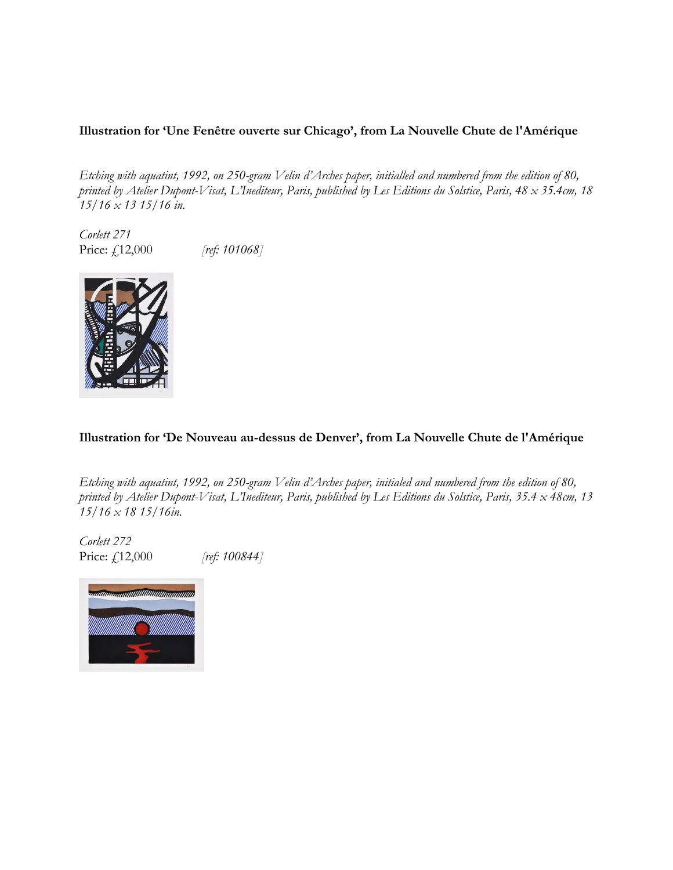# **Illustration for 'Une Fenêtre ouverte sur Chicago', from La Nouvelle Chute de l'Amérique**

*Etching with aquatint, 1992, on 250-gram Velin d'Arches paper, initialled and numbered from the edition of 80, printed by Atelier Dupont-Visat, L'Inediteur, Paris, published by Les Editions du Solstice, Paris, 48 x 35.4cm, 18 15/16 x 13 15/16 in.* 

*Corlett 271* Price: £12,000 *[ref: 101068]* 



### **Illustration for 'De Nouveau au-dessus de Denver', from La Nouvelle Chute de l'Amérique**

*Etching with aquatint, 1992, on 250-gram Velin d'Arches paper, initialed and numbered from the edition of 80, printed by Atelier Dupont-Visat, L'Inediteur, Paris, published by Les Editions du Solstice, Paris, 35.4 x 48cm, 13 15/16 x 18 15/16in.*

*Corlett 272* Price: £12,000 *[ref: 100844]*

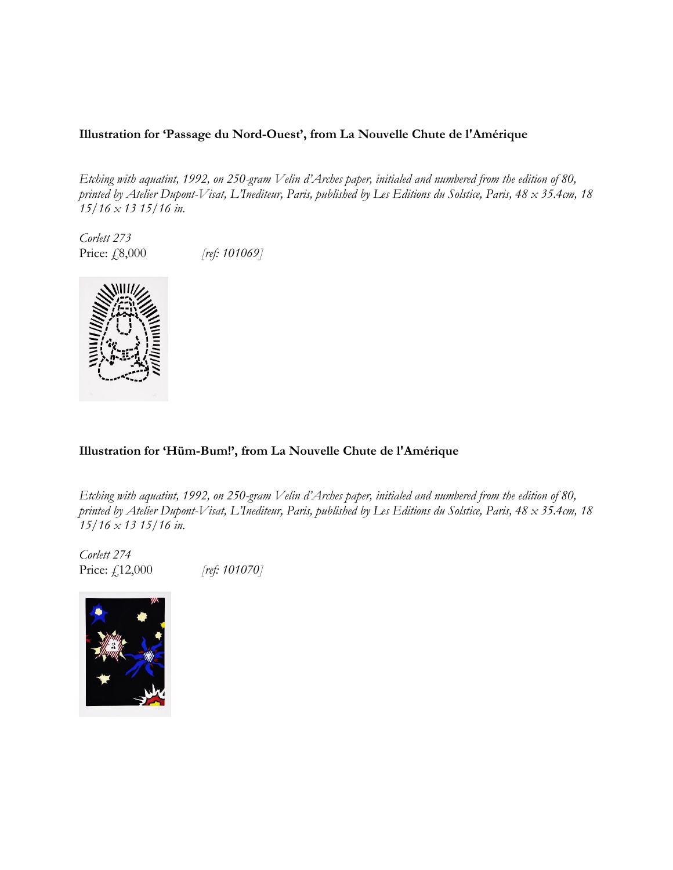## **Illustration for 'Passage du Nord-Ouest', from La Nouvelle Chute de l'Amérique**

*Etching with aquatint, 1992, on 250-gram Velin d'Arches paper, initialed and numbered from the edition of 80, printed by Atelier Dupont-Visat, L'Inediteur, Paris, published by Les Editions du Solstice, Paris, 48 x 35.4cm, 18 15/16 x 13 15/16 in.* 

*Corlett 273* Price: £8,000 *[ref: 101069]* 



## **Illustration for 'Hüm-Bum!', from La Nouvelle Chute de l'Amérique**

*Etching with aquatint, 1992, on 250-gram Velin d'Arches paper, initialed and numbered from the edition of 80, printed by Atelier Dupont-Visat, L'Inediteur, Paris, published by Les Editions du Solstice, Paris, 48 x 35.4cm, 18 15/16 x 13 15/16 in.* 

*Corlett 274* Price: £12,000 *[ref: 101070]*